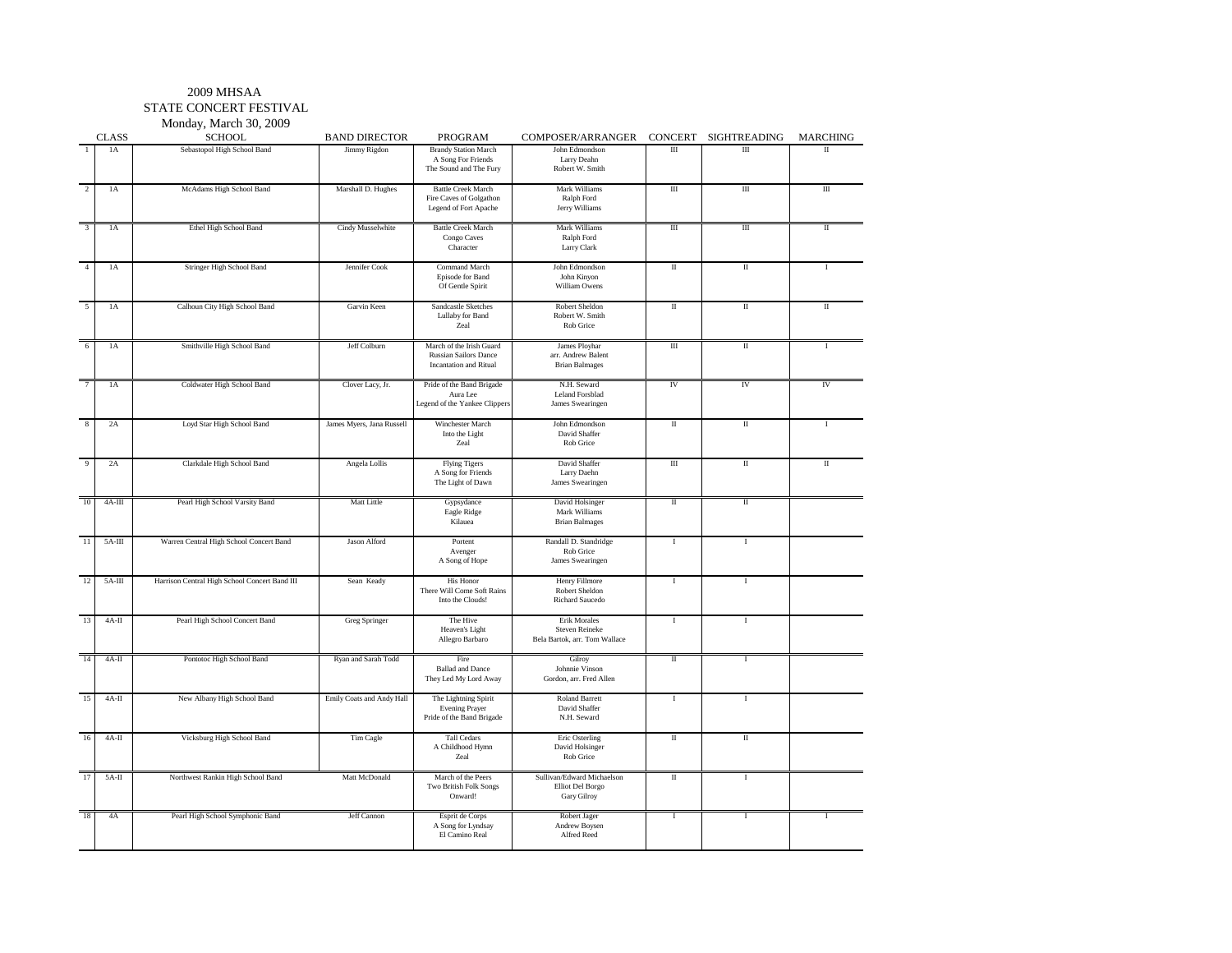STATE CONCERT FESTIVAL

Monday, March 30, 2009

|                | <b>CLASS</b> | 1.15<br><b>SCHOOL</b>                         | <b>BAND DIRECTOR</b>      | <b>PROGRAM</b>                                                                            | COMPOSER/ARRANGER CONCERT SIGHTREADING                                 |           |              | MARCHING     |
|----------------|--------------|-----------------------------------------------|---------------------------|-------------------------------------------------------------------------------------------|------------------------------------------------------------------------|-----------|--------------|--------------|
| -1             | 1A           | Sebastopol High School Band                   | Jimmy Rigdon              | <b>Brandy Station March</b><br>A Song For Friends<br>The Sound and The Fury               | John Edmondson<br>Larry Deahn<br>Robert W. Smith                       | Ш         | Ш            | $\mathbf{H}$ |
| $\overline{2}$ | 1A           | McAdams High School Band                      | Marshall D. Hughes        | <b>Battle Creek March</b><br>Fire Caves of Golgathon<br>Legend of Fort Apache             | Mark Williams<br>Ralph Ford<br>Jerry Williams                          | $\rm III$ | $\rm III$    | $\rm III$    |
| $\mathbf{3}$   | 1A           | Ethel High School Band                        | Cindy Musselwhite         | <b>Battle Creek March</b><br>Congo Caves<br>Character                                     | Mark Williams<br>Ralph Ford<br>Larry Clark                             | Ш         | $\rm III$    | П            |
| $\overline{4}$ | 1A           | Stringer High School Band                     | Jennifer Cook             | <b>Command March</b><br>Episode for Band<br>Of Gentle Spirit                              | John Edmondson<br>John Kinyon<br>William Owens                         | $\rm{II}$ | $\rm{II}$    | Т            |
| 5              | 1A           | Calhoun City High School Band                 | Garvin Keen               | Sandcastle Sketches<br>Lullaby for Band<br>Zeal                                           | Robert Sheldon<br>Robert W. Smith<br>Rob Grice                         | П         | $\rm II$     | П            |
| 6              | 1A           | Smithville High School Band                   | Jeff Colburn              | March of the Irish Guard<br><b>Russian Sailors Dance</b><br><b>Incantation</b> and Ritual | James Ployhar<br>arr. Andrew Balent<br><b>Brian Balmages</b>           | Ш         | П            | 1            |
| $\tau$         | 1A           | Coldwater High School Band                    | Clover Lacy, Jr.          | Pride of the Band Brigade<br>Aura Lee<br>Legend of the Yankee Clippers                    | N.H. Seward<br>Leland Forsblad<br>James Swearingen                     | IV        | ${\rm IV}$   | IV           |
| 8              | 2A           | Loyd Star High School Band                    | James Myers, Jana Russell | Winchester March<br>Into the Light<br>Zeal                                                | John Edmondson<br>David Shaffer<br>Rob Grice                           | П         | $\;$ II      | Т            |
| 9              | 2A           | Clarkdale High School Band                    | Angela Lollis             | <b>Flying Tigers</b><br>A Song for Friends<br>The Light of Dawn                           | David Shaffer<br>Larry Daehn<br>James Swearingen                       | Ш         | П            | П            |
| 10             | $4A-III$     | Pearl High School Varsity Band                | Matt Little               | Gypsydance<br>Eagle Ridge<br>Kilauea                                                      | David Holsinger<br>Mark Williams<br><b>Brian Balmages</b>              | П         | $\rm II$     |              |
| 11             | $5A-III$     | Warren Central High School Concert Band       | Jason Alford              | Portent<br>Avenger<br>A Song of Hope                                                      | Randall D. Standridge<br>Rob Grice<br>James Swearingen                 | Ι         | $\mathbf{I}$ |              |
| 12             | $5A-HI$      | Harrison Central High School Concert Band III | Sean Keady                | <b>His Honor</b><br>There Will Come Soft Rains<br>Into the Clouds!                        | Henry Fillmore<br>Robert Sheldon<br>Richard Saucedo                    | <b>I</b>  | <b>I</b>     |              |
| 13             | $4A-II$      | Pearl High School Concert Band                | Greg Springer             | The Hive<br>Heaven's Light<br>Allegro Barbaro                                             | Erik Morales<br><b>Steven Reineke</b><br>Bela Bartok, arr. Tom Wallace | <b>I</b>  | Ι            |              |
| 14             | $4A-II$      | Pontotoc High School Band                     | Ryan and Sarah Todd       | Fire<br><b>Ballad</b> and Dance<br>They Led My Lord Away                                  | Gilroy<br>Johnnie Vinson<br>Gordon, arr. Fred Allen                    | $\;$ II   | $\mathbf I$  |              |
| 15             | $4A-II$      | New Albany High School Band                   | Emily Coats and Andy Hall | The Lightning Spirit<br><b>Evening Prayer</b><br>Pride of the Band Brigade                | Roland Barrett<br>David Shaffer<br>N.H. Seward                         | $\bf{I}$  | 1            |              |
| 16             | $4A-II$      | Vicksburg High School Band                    | Tim Cagle                 | <b>Tall Cedars</b><br>A Childhood Hymn<br>Zeal                                            | Eric Osterling<br>David Holsinger<br>Rob Grice                         | П         | $\;$ II      |              |
| 17             | $5A-II$      | Northwest Rankin High School Band             | Matt McDonald             | March of the Peers<br>Two British Folk Songs<br>Onward!                                   | Sullivan/Edward Michaelson<br>Elliot Del Borgo<br>Gary Gilroy          | $\;$ II   | Ι            |              |
| 18             | 4A           | Pearl High School Symphonic Band              | Jeff Cannon               | Esprit de Corps<br>A Song for Lyndsay<br>El Camino Real                                   | Robert Jager<br>Andrew Boysen<br>Alfred Reed                           | I         | 1            | 1            |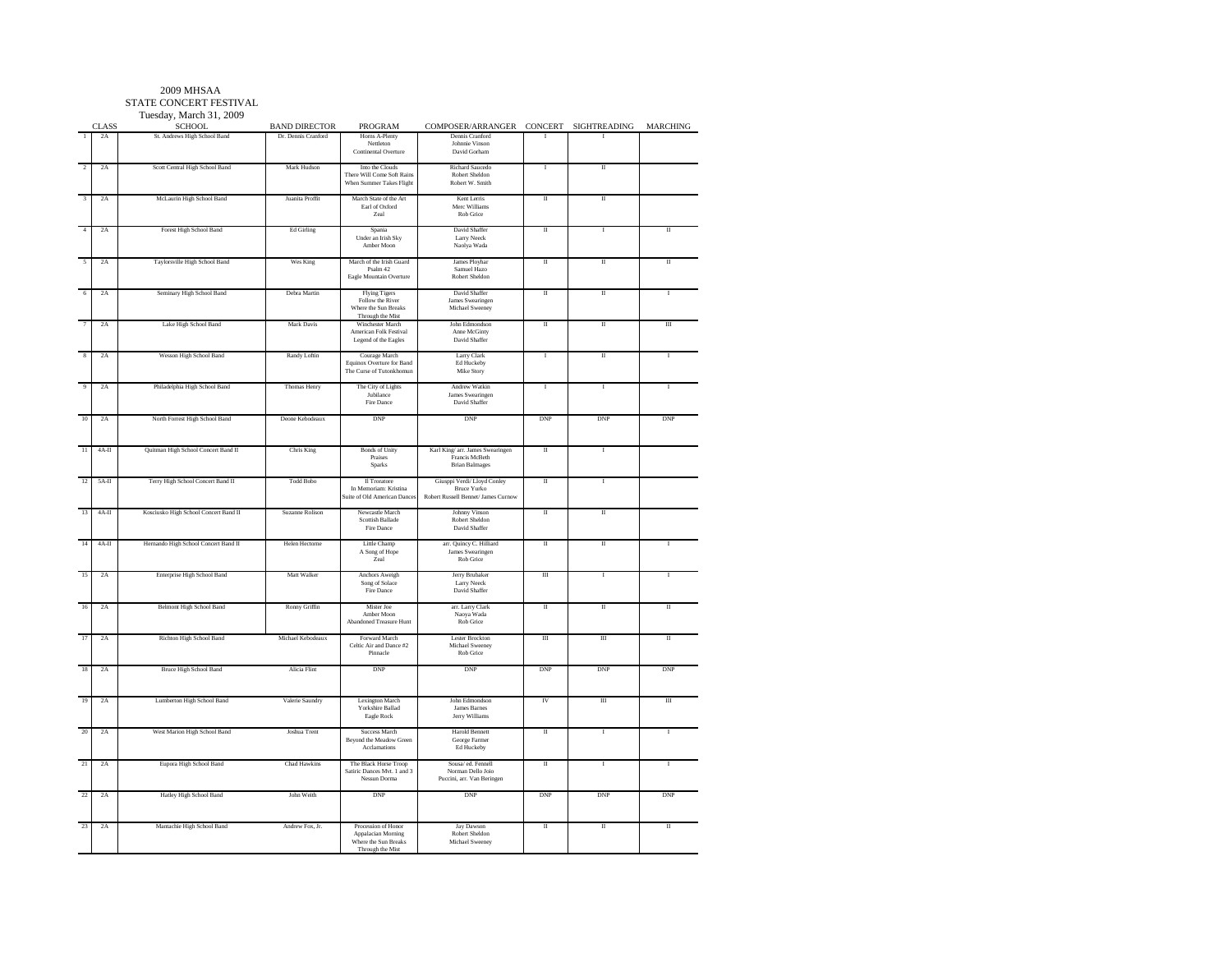#### STATE CONCERT FESTIVALTuesday, March 31, 2009

|                         | <b>CLASS</b> | <b>SCHOOL</b>                         | <b>BAND DIRECTOR</b>  | <b>PROGRAM</b>                                                                        | COMPOSER/ARRANGER                                                                | CONCERT                 | SIGHTREADING            | <b>MARCHING</b>         |
|-------------------------|--------------|---------------------------------------|-----------------------|---------------------------------------------------------------------------------------|----------------------------------------------------------------------------------|-------------------------|-------------------------|-------------------------|
|                         | 2A           | St. Andrews High School Band          | Dr. Dennis Cranford   | Horns A-Plenty<br>Nettleton<br>Continental Overture                                   | Dennis Cranford<br>Johnnie Vinson<br>David Gorham                                |                         |                         |                         |
| $\overline{2}$          | 2A           | Scott Central High School Band        | Mark Hudson           | Into the Clouds<br>There Will Come Soft Rains<br>When Summer Takes Flight             | Richard Saucedo<br>Robert Sheldon<br>Robert W. Smith                             | Ţ                       | Π                       |                         |
| $\overline{\mathbf{3}}$ | 2A           | McLaurin High School Band             | Juanita Proffit       | March State of the Art<br>Earl of Oxford<br>Zeal                                      | Kent Lerris<br>Merc Williams<br>Rob Grice                                        | $\mathbf{I}$            | $\scriptstyle\rm II$    |                         |
| $\overline{4}$          | 2A           | Forest High School Band               | Ed Girling            | Spania<br>Under an Irish Sky<br>Amber Moon                                            | David Shaffer<br>Larry Neeck<br>Naolya Wada                                      | $\overline{\mathbf{u}}$ | 1                       | π                       |
| 5                       | 2A           | Taylorsville High School Band         | Wes King              | March of the Irish Guard<br>Psalm 42<br>Eagle Mountain Overture                       | James Ployhar<br>Samuel Hazo<br>Robert Sheldon                                   | $\scriptstyle\rm II$    | Π                       | $\overline{\mathbf{u}}$ |
| 6                       | 2A           | Seminary High School Band             | Debra Martin          | <b>Flying Tigers</b><br>Follow the River<br>Where the Sun Breaks<br>Through the Mist  | David Shaffer<br>James Swearingen<br>Michael Sweeney                             | Π                       | π                       | $\mathbf{I}$            |
|                         | 2A           | Lake High School Band                 | Mark Davis            | Winchester March<br>American Folk Festival<br>Legend of the Eagles                    | John Edmondson<br>Anne McGinty<br>David Shaffer                                  | $\scriptstyle\rm II$    | Π                       | Ш                       |
| $\mathbf{R}$            | 2A           | Wesson High School Band               | Randy Loftin          | Courage March<br>Equinox Overture for Band<br>The Curse of Tutonkhomun                | Larry Clark<br>Ed Huckeby<br>Mike Story                                          | $\mathbf{I}$            | π                       | I.                      |
| $\overline{9}$          | 2A           | Philadelphia High School Band         | Thomas Henry          | The City of Lights<br>Jubilance<br>Fire Dance                                         | Andrew Watkin<br>James Swearingen<br>David Shaffer                               | $\mathbf{I}$            | $\bf{I}$                | 1                       |
| 10                      | 2A           | North Forrest High School Band        | Deone Kebodeaux       | <b>DNP</b>                                                                            | DNP                                                                              | DNP                     | DNP                     | <b>DNP</b>              |
| $\overline{11}$         | $4A-H$       | Quitman High School Concert Band II   | Chris King            | <b>Bonds</b> of Unity<br>Praises<br><b>Sparks</b>                                     | Karl King/ arr. James Swearingen<br>Francis McBeth<br><b>Brian Balmages</b>      | Π                       | $\mathbf{I}$            |                         |
| $\overline{12}$         | 5A-II        | Terry High School Concert Band II     | <b>Todd Bobo</b>      | Il Troratore<br>In Memoriam: Kristina<br>Suite of Old American Dance                  | Giusppi Verdi/Lloyd Conley<br>Bruce Yurko<br>Robert Russell Bennet/ James Curnow | Π                       | т                       |                         |
| 13                      | $4A-H$       | Kosciusko High School Concert Band II | Suzanne Rolison       | Newcastle March<br>Scottish Ballade<br>Fire Dance                                     | Johnny Vinson<br>Robert Sheldon<br>David Shaffer                                 | π                       | π                       |                         |
| 14                      | $4A-II$      | Hernando High School Concert Band II  | <b>Helen Hectorne</b> | Little Champ<br>A Song of Hope<br>Zeal                                                | arr. Quincy C. Hilliard<br>James Swearingen<br>Rob Grice                         | Π                       | Π                       | 1                       |
| 15                      | 2A           | Enterprise High School Band           | Matt Walker           | Anchors Aweigh<br>Song of Solace<br>Fire Dance                                        | Jerry Brubaker<br>Larry Neeck<br>David Shaffer                                   | $\rm III$               | $\overline{1}$          | $\mathbf{I}$            |
| 16                      | 2A           | <b>Belmont High School Band</b>       | Ronny Griffin         | Mister Joe<br>Amber Moon<br><b>Abandoned Treasure Hunt</b>                            | arr. Larry Clark<br>Naoya Wada<br>Rob Grice                                      | Π                       | π                       | Π                       |
| $\overline{17}$         | 2A           | Richton High School Band              | Michael Kebodeaux     | Forward March<br>Celtic Air and Dance #2<br>Pinnacle                                  | <b>Lester Brockton</b><br>Michael Sweeney<br>Rob Grice                           | $\overline{\mathbf{H}}$ | $\overline{m}$          | π                       |
| 18                      | 2A           | <b>Bruce High School Band</b>         | Alicia Flint          | <b>DNP</b>                                                                            | <b>DNP</b>                                                                       | <b>DNP</b>              | <b>DNP</b>              | DNP                     |
| 19                      | 2A           | Lumberton High School Band            | Valerie Saundry       | <b>Lexington March</b><br><b>Yorkshire Ballad</b><br>Eagle ${\rm Rock}$               | John Edmondson<br>James Barnes<br>Jerry Williams                                 | IV                      | Ш                       | Ш                       |
| 20                      | 2A           | West Marion High School Band          | Joshua Trent          | Success March<br>Beyond the Meadow Green<br>Acclamations                              | <b>Harold Bennett</b><br>George Farmer<br>Ed Huckeby                             | $\scriptstyle\rm II$    | $\overline{1}$          | ī                       |
| $_{21}$                 | 2A           | Eupora High School Band               | Chad Hawkins          | The Black Horse Troop<br>Satiric Dances Mvt. 1 and 3<br>Nessun Dorma                  | Sousa/ ed. Fennell<br>Norman Dello Joio<br>Puccini, arr. Van Beringen            | Π                       | I                       | I                       |
| 22                      | 2A           | Hatley High School Band               | John Weith            | <b>DNP</b>                                                                            | <b>DNP</b>                                                                       | <b>DNP</b>              | DNP                     | <b>DNP</b>              |
| 23                      | 2A           | Mantachie High School Band            | Andrew Fox, Jr.       | Procession of Honor<br>Appalacian Morning<br>Where the Sun Breaks<br>Through the Mist | Jay Dawson<br>Robert Sheldon<br>Michael Sweeney                                  | $\mathbf{H}$            | $\overline{\mathbf{u}}$ | $\overline{\mathbf{u}}$ |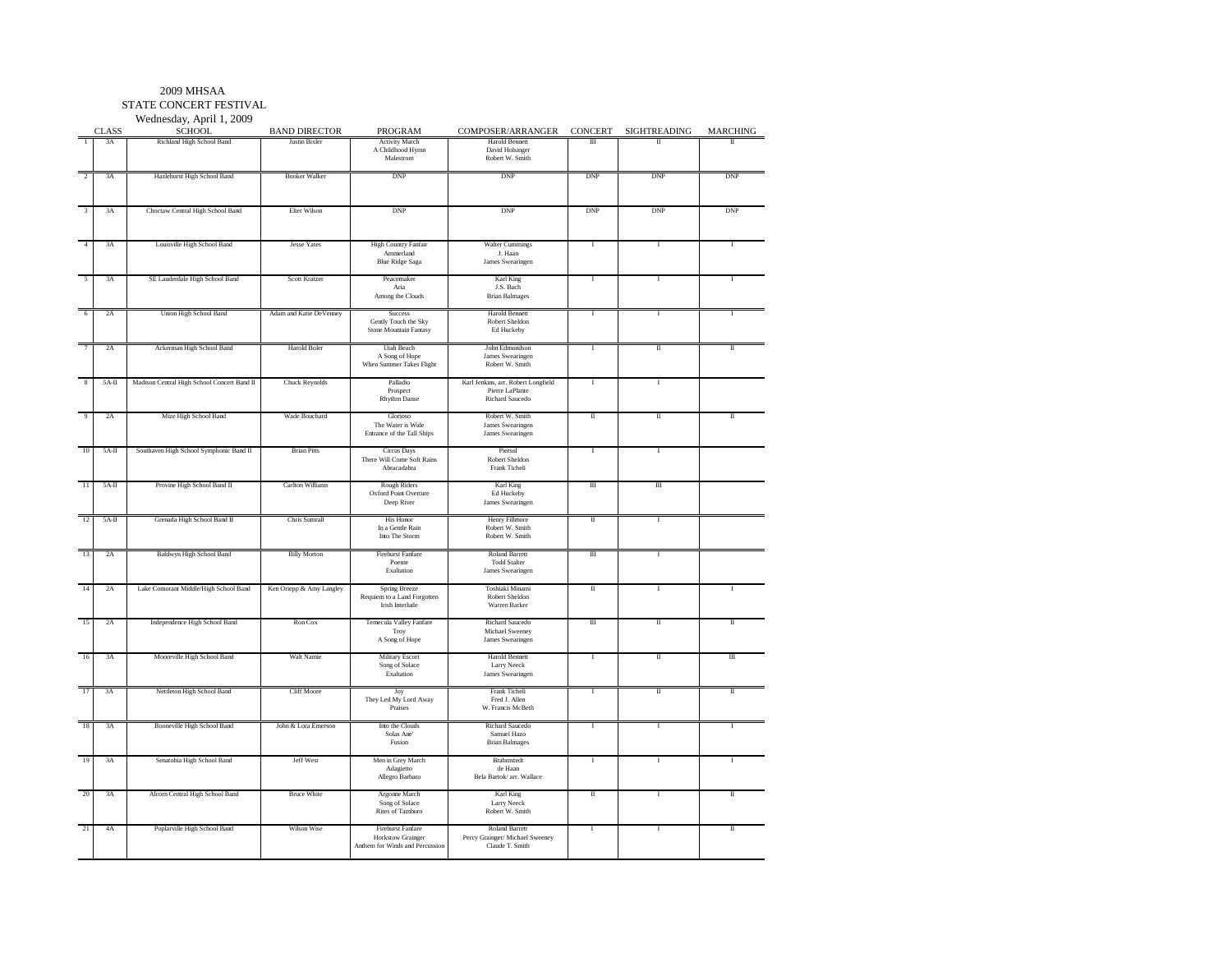STATE CONCERT FESTIVALWednesday, April 1, 2009

CLASS**SCHOOL** BAND DIRECTOR PROGRAM $\begin{array}{ccc|ccc}\hline \textbf{COMPOSER/ARRANGER} & \textbf{CONCEPT} & \textbf{SGHTREADING} & \textbf{MARCHING} \\ \hline \textbf{Hardi Bennett} & \text{I}\hspace{1.5cm}\text{II} & \text{I}\hspace{1.5cm} & \text{I}\hspace{1.5cm} & \text{I}\end{array}$ 1 3A Richland High School Band Justin Bixler Activity March Harold Bennett Achidhood Hynn David Holsinger Activity March<br>A Childhood Hymn<br>Malestrom Malestrom Robert W. Smith2 3A Hazlehurst High School Band I Booker Walker I DNP I DNP I DNP I DNP I DNP I DNP 3 3A Choctaw Central High School Band Elter Wilson DNP DNP DNP DNP DNP3A Louisville High School Band Jesse Yates High Country Fanfair Walter Cummings I Islam **Blue Ridge Saga**  Blue Ridge Saga James Swearingen5 3 September 1988 3 3 September 1988 3 September 1988 3 September 1988 3 September 1988 3 Aria 1 Aria Karl King<br>J.S. Bach **Brian Balmages** Among the Clouds 6 2A Union High School Band Adam and Katie DeVenney Success Harold Bennett I I IGently Touch the Sky Ed Huckeby Stone Mountain Fantasy 7 2A Ackerman High School Band Harold Boler Utah Beach John Edmondson I II IIA Song of Hope James Swearingen Robert W. Smith When Summer Takes Flight 8 5A-II Madison Central High School Concert Band II Chuck Reynolds Palladio Karl Jenkins, arr. Robert Longfield I I I I<br>Prospect Pierre LaPlante Pierre LaPlante Richard Saucedo Rhythm Danse 9 2A Mize High School Band | Wade Bouchard | Glorioso | Robert W. Smith | II | II II II The Water is Wide James SwearingenJames Swearingen Entrance of the Tall Shins 10 5A-II Southaven High School Symphonic Band II Brian Pitts Circus Days Piersol I IThere Will Come Soft Rains<br>Abracadabra Abracadabra Frank Ticheli11 5A-II Provine High School Band II Carlton Williams Rough Riders Karl King III III III Oxford Point Overture<br>Deep River Deep River James Swearingen 12 5A-II Grenada High School Band II Chris Sumrall His Honor Henry Fillmor<br>In a Gentle Rain Robert W. Sm In a Gentle Rain Robert W. SmithInto The Storm Robert W. Smith 13 2A Baldwyn High School Band Billy Morton Fireburst Fanfare Roland Barrett III I I<br>Poeme Todd Stalter I II Poeme Todd Stalter<br>Fysikation Iames Swearinge Exaltation James Swearingen14 2A Lake Comorant Middle/High School Band Ken Oriepp & Amy Langley Spring Breeze Toshiaki Minami II I ISpring Breeze<br>Requiem to a Land Forgotten<br>Irish Interlude Irish Interlude Warren Barker15 2A Independence High School Band Ron Cox Temecula Valley Fanfare Richard Saucedo III II II II II II II II I<br>Troy Michael Sweeney Troy Michael Sweeney<br>A Song of Hope James Swearingen A Song of Hope James Swearingen 16 3A Mooreville High School Band Walt Namie Military Escort Harold Bennett Harold Bennett I are Nacht I in The Theorem Control and The The The Military Escort I in The United School Band I are Nacht I in The United School Song of Solace<br>Exaltation Exaltation James Swearingen17 3A Nettleton High School Band Cliff Moore Joy Frank Ticheli I I II II Joy Frank Ticheli<br>
They Led My Lord Away Fred J. Allen<br>
Praises W. Francis McBe Praises W. Francis McBeth 18 3A Booneville High School Band John & Lora Emerson Into the Clouds Richard Saucedo II I I I I I Solas Ane' Samuel Hazo<br>
Fusion Brian Balmages Fusion Brian Balmages 19 3A Senatobia High School Band Jeff West JRen in Grey March Brahmstedt JI I I I I I I Adagietto de Haan<br>Allegro Barbaro Bela Bartok/arr. V Allegro Barbaro **Bela Bartok/arr. Wallace** 20 3A Alcorn Central High School Band Bruce White Argonne March Karl King I I I I I I I I I I Song of Solace Larry Neeck Song of Solace<br>Rites of Tamburo Rites of Tamburo Robert W. Smith 21 4A Poplarville High School Band Wilson Wise Fireburst Fanfare Roland Barrett I I IIPercy Grainger/ Michael Sweeney<br>Claude T. Smith Anthem for Winds and Percussion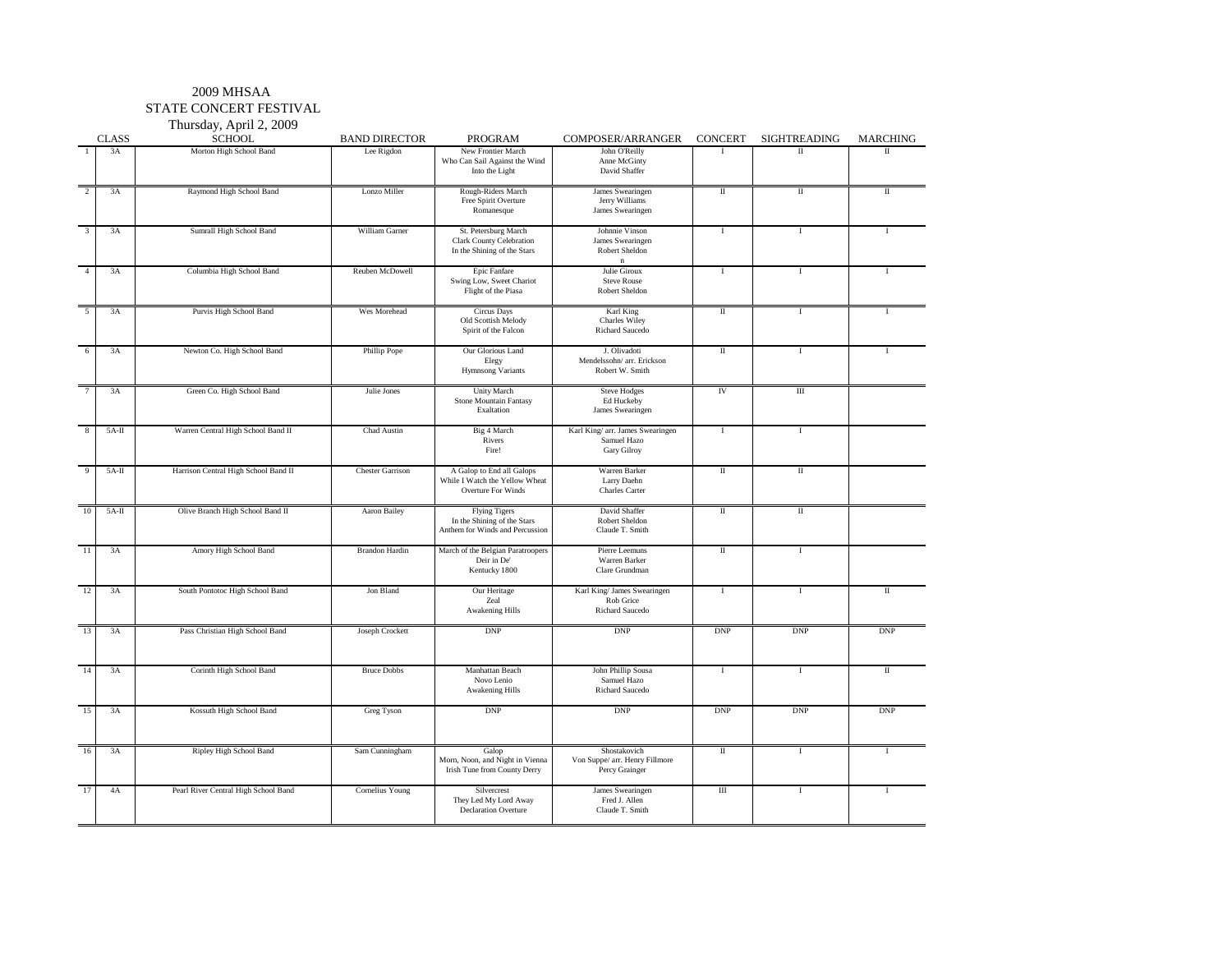#### 2009 MHSAA STATE CONCERT FESTIVAL

Thursday, April 2, 2009

|                | <b>CLASS</b> | $\ldots \ldots \ldots$<br><b>SCHOOL</b> | <b>BAND DIRECTOR</b>    | PROGRAM                                                                                | COMPOSER/ARRANGER                                                    | <b>CONCERT</b>       | SIGHTREADING                | <b>MARCHING</b> |
|----------------|--------------|-----------------------------------------|-------------------------|----------------------------------------------------------------------------------------|----------------------------------------------------------------------|----------------------|-----------------------------|-----------------|
| $\mathbf{1}$   | 3A           | Morton High School Band                 | Lee Rigdon              | New Frontier March<br>Who Can Sail Against the Wind<br>Into the Light                  | John O'Reilly<br>Anne McGinty<br>David Shaffer                       | $\mathbf{I}$         | Π                           | $\mathbf{I}$    |
| $\overline{2}$ | 3A           | Raymond High School Band                | Lonzo Miller            | Rough-Riders March<br>Free Spirit Overture<br>Romanesque                               | James Swearingen<br>Jerry Williams<br>James Swearingen               | $\rm II$             | $\overline{\mathbf{u}}$     | $\mathbf{I}$    |
| 3              | 3A           | Sumrall High School Band                | William Garner          | St. Petersburg March<br>Clark County Celebration<br>In the Shining of the Stars        | Johnnie Vinson<br>James Swearingen<br>Robert Sheldon<br>$\mathbf{n}$ | -1                   | $\bf{I}$                    | $\mathbf{I}$    |
| $\Delta$       | 3A           | Columbia High School Band               | Reuben McDowell         | Epic Fanfare<br>Swing Low, Sweet Chariot<br>Flight of the Piasa                        | Julie Giroux<br><b>Steve Rouse</b><br>Robert Sheldon                 | $\mathbf{I}$         | $\bf{I}$                    |                 |
| $\overline{5}$ | 3A           | Purvis High School Band                 | Wes Morehead            | <b>Circus</b> Days<br>Old Scottish Melody<br>Spirit of the Falcon                      | Karl King<br>Charles Wiley<br>Richard Saucedo                        | $\;$ II              | $\bf{I}$                    |                 |
|                | 3A           | Newton Co. High School Band             | Phillip Pope            | Our Glorious Land<br>Elegy<br>Hymnsong Variants                                        | J. Olivadoti<br>Mendelssohn/ arr. Erickson<br>Robert W. Smith        | $\rm II$             | $\bf{I}$                    |                 |
| $\overline{7}$ | 3A           | Green Co. High School Band              | Julie Jones             | Unity March<br>Stone Mountain Fantasy<br>Exaltation                                    | <b>Steve Hodges</b><br>Ed Huckeby<br>James Swearingen                | IV                   | $\rm III$                   |                 |
| 8              | $5A-H$       | Warren Central High School Band II      | Chad Austin             | Big 4 March<br>Rivers<br>Fire!                                                         | Karl King/ arr. James Swearingen<br>Samuel Hazo<br>Gary Gilroy       | $\mathbf{I}$         | Τ                           |                 |
| $\mathbf Q$    | $5A-II$      | Harrison Central High School Band II    | <b>Chester Garrison</b> | A Galop to End all Galops<br>While I Watch the Yellow Wheat<br>Overture For Winds      | Warren Barker<br>Larry Daehn<br><b>Charles Carter</b>                | П                    | $\rm II$                    |                 |
| 10             | $5A-II$      | Olive Branch High School Band II        | Aaron Bailey            | <b>Flying Tigers</b><br>In the Shining of the Stars<br>Anthem for Winds and Percussion | David Shaffer<br>Robert Sheldon<br>Claude T. Smith                   | П                    | $\rm II$                    |                 |
| 11             | 3A           | Amory High School Band                  | <b>Brandon Hardin</b>   | March of the Belgian Paratroopers<br>Deir in De'<br>Kentucky 1800                      | Pierre Leemuns<br>Warren Barker<br>Clare Grundman                    | $\scriptstyle\rm II$ | $\mathbf I$                 |                 |
| 12             | 3A           | South Pontotoc High School Band         | Jon Bland               | Our Heritage<br>Zeal<br><b>Awakening Hills</b>                                         | Karl King/ James Swearingen<br>Rob Grice<br>Richard Saucedo          | $\mathbf I$          | $\bf{I}$                    | $\;$ II         |
| 13             | 3A           | Pass Christian High School Band         | Joseph Crockett         | $\mathbf{DNP}$                                                                         | <b>DNP</b>                                                           | <b>DNP</b>           | $\ensuremath{\mathrm{DNP}}$ | <b>DNP</b>      |
| 14             | 3A           | Corinth High School Band                | <b>Bruce Dobbs</b>      | Manhattan Beach<br>Novo Lenio<br><b>Awakening Hills</b>                                | John Phillip Sousa<br>Samuel Hazo<br><b>Richard Saucedo</b>          | -1                   | -1                          | П               |
| 15             | 3A           | Kossuth High School Band                | <b>Greg Tyson</b>       | DNP                                                                                    | <b>DNP</b>                                                           | <b>DNP</b>           | $\ensuremath{\mathrm{DNP}}$ | <b>DNP</b>      |
| 16             | 3A           | Ripley High School Band                 | Sam Cunningham          | Galop<br>Morn, Noon, and Night in Vienna<br>Irish Tune from County Derry               | Shostakovich<br>Von Suppe/ arr. Henry Fillmore<br>Percy Grainger     | П                    | $\bf{I}$                    | $\mathbf{I}$    |
| 17             | 4A           | Pearl River Central High School Band    | Cornelius Young         | Silvercrest<br>They Led My Lord Away<br><b>Declaration Overture</b>                    | James Swearingen<br>Fred J. Allen<br>Claude T. Smith                 | $\rm III$            | $\bf{I}$                    | $\mathbf{I}$    |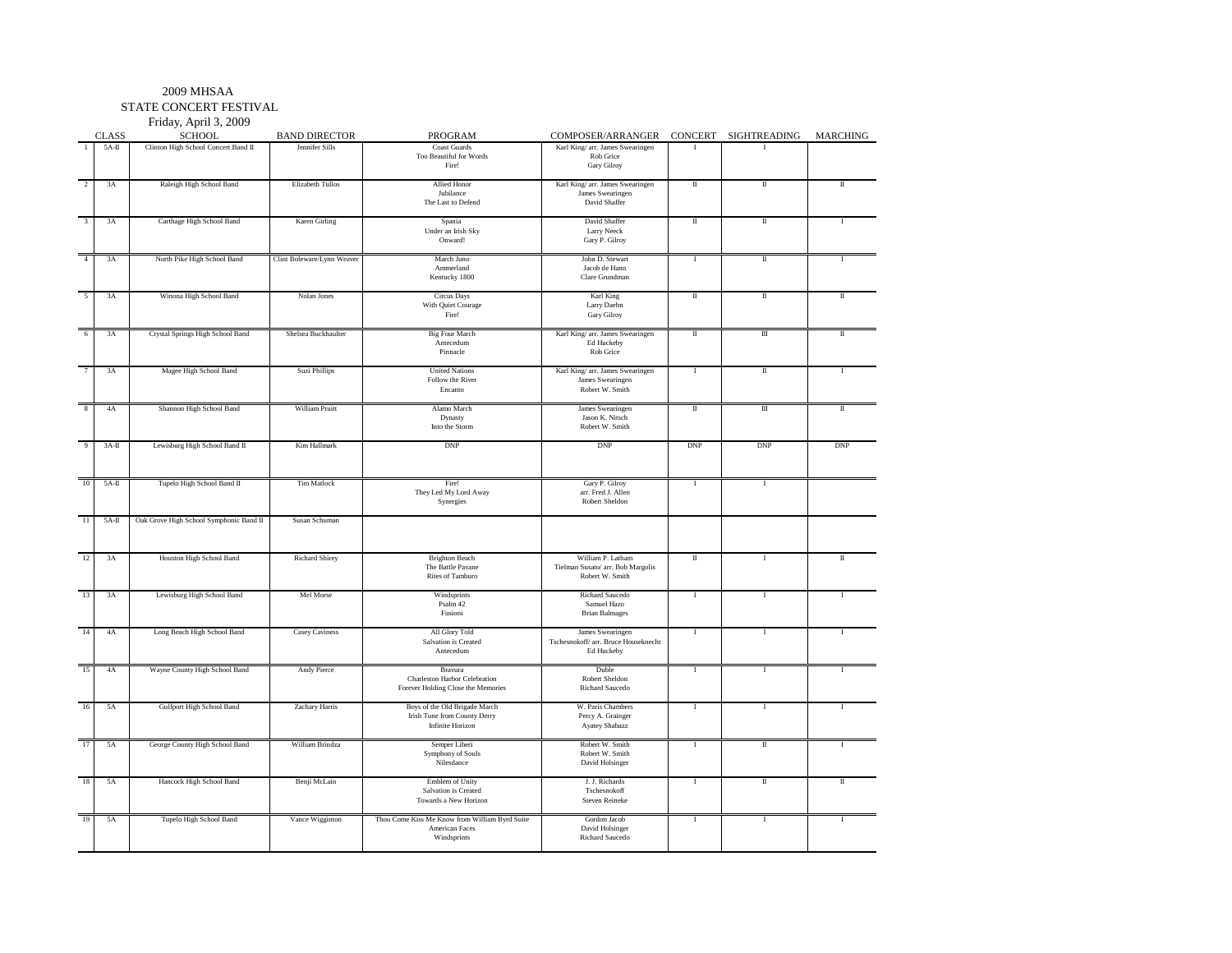STATE CONCERT FESTIVAL

Friday, April 3, 2009

|                 |              | Friday, April 3, 2009                   |                            |                                                |                                      |                                    |                       |              |
|-----------------|--------------|-----------------------------------------|----------------------------|------------------------------------------------|--------------------------------------|------------------------------------|-----------------------|--------------|
|                 | <b>CLASS</b> | <b>SCHOOL</b>                           | <b>BAND DIRECTOR</b>       | <b>PROGRAM</b>                                 | COMPOSER/ARRANGER                    |                                    | CONCERT SIGHTREADING  | MARCHING     |
|                 | $5A-H$       | Clinton High School Concert Band II     | Jennifer Sills             | <b>Coast Guards</b>                            | Karl King/ arr. James Swearingen     | L                                  |                       |              |
|                 |              |                                         |                            | Too Beautiful for Words<br>Fire!               | Rob Grice<br>Gary Gilroy             |                                    |                       |              |
| $\overline{2}$  | 3A           | Raleigh High School Band                | Elizabeth Tullos           | Allied Honor                                   | Karl King/ arr. James Swearingen     | П                                  | П                     | Π            |
|                 |              |                                         |                            | Jubilance                                      | James Swearingen                     |                                    |                       |              |
|                 |              |                                         |                            | The Last to Defend                             | David Shaffer                        |                                    |                       |              |
|                 |              |                                         |                            |                                                |                                      |                                    |                       |              |
| 3               | 3A           | Carthage High School Band               | <b>Karen Girling</b>       | Spania                                         | David Shaffer                        | П                                  | П                     | л            |
|                 |              |                                         |                            | Under an Irish Sky                             | <b>Larry Neeck</b>                   |                                    |                       |              |
|                 |              |                                         |                            | Onward!                                        | Gary P. Gilroy                       |                                    |                       |              |
|                 |              |                                         |                            |                                                |                                      |                                    |                       |              |
|                 | 3A           | North Pike High School Band             | Clint Boleware/Lynn Weaver | March Juno                                     | John D. Stewart                      | $\bf I$                            | П                     | 1            |
|                 |              |                                         |                            | Ammerland<br>Kentucky 1800                     | Jacob de Hann<br>Clare Grundman      |                                    |                       |              |
|                 |              |                                         |                            |                                                |                                      |                                    |                       |              |
|                 | 3A           | Winona High School Band                 | Nolan Jones                | <b>Circus</b> Days                             | Karl King                            | П                                  | Π                     | $\;$ II      |
|                 |              |                                         |                            | With Quiet Courage                             | Larry Daehn                          |                                    |                       |              |
|                 |              |                                         |                            | Fire!                                          | Gary Gilroy                          |                                    |                       |              |
|                 |              |                                         |                            |                                                |                                      |                                    |                       |              |
|                 | 3A           | Crystal Springs High School Band        | Shelsea Buckhaulter        | <b>Big Four March</b>                          | Karl King/ arr. James Swearingen     | $\scriptstyle\rm II$               | $\mathbf{m}$          | $\mathbf{I}$ |
|                 |              |                                         |                            | Antecedum                                      | Ed Huckeby                           |                                    |                       |              |
|                 |              |                                         |                            | Pinnacle                                       | Rob Grice                            |                                    |                       |              |
|                 |              |                                         |                            |                                                |                                      |                                    |                       |              |
|                 | 3A           | Magee High School Band                  | Suzi Phillips              | <b>United Nations</b>                          | Karl King/ arr. James Swearingen     | $\bf{I}$                           | П                     | I            |
|                 |              |                                         |                            | Follow the River                               | James Swearingen<br>Robert W. Smith  |                                    |                       |              |
|                 |              |                                         |                            | Encanto                                        |                                      |                                    |                       |              |
|                 | 4A           | Shannon High School Band                | William Pruitt             | Alamo March                                    | James Swearingen                     | $\overline{\rm{I\hspace{-.1em}I}}$ | $\scriptstyle\rm III$ | Π            |
|                 |              |                                         |                            | Dynasty                                        | Jason K. Nitsch                      |                                    |                       |              |
|                 |              |                                         |                            | Into the Storm                                 | Robert W. Smith                      |                                    |                       |              |
|                 |              |                                         |                            |                                                |                                      |                                    |                       |              |
|                 | $3A-I$       | Lewisburg High School Band II           | Kim Hallmark               | <b>DNP</b>                                     | <b>DNP</b>                           | <b>DNP</b>                         | <b>DNP</b>            | <b>DNP</b>   |
|                 |              |                                         |                            |                                                |                                      |                                    |                       |              |
|                 |              |                                         |                            |                                                |                                      |                                    |                       |              |
| 10              |              |                                         |                            |                                                |                                      |                                    |                       |              |
|                 | $5A-H$       | Tupelo High School Band II              | <b>Tim Matlock</b>         | Fire!                                          | Gary P. Gilroy                       | I                                  | $\mathbf I$           |              |
|                 |              |                                         |                            | They Led My Lord Away                          | arr. Fred J. Allen<br>Robert Sheldon |                                    |                       |              |
|                 |              |                                         |                            | Synergies                                      |                                      |                                    |                       |              |
| $\overline{11}$ | $5A-II$      | Oak Grove High School Symphonic Band II | Susan Schuman              |                                                |                                      |                                    |                       |              |
|                 |              |                                         |                            |                                                |                                      |                                    |                       |              |
|                 |              |                                         |                            |                                                |                                      |                                    |                       |              |
|                 |              |                                         |                            |                                                |                                      |                                    |                       |              |
| 12              | 3A           | Houston High School Band                | Richard Shirey             | <b>Brighton Beach</b>                          | William P. Latham                    | $\scriptstyle\rm II$               | $\mathbf{I}$          | П            |
|                 |              |                                         |                            | The Battle Pavane                              | Tielman Susato/ arr. Bob Margolis    |                                    |                       |              |
|                 |              |                                         |                            | Rites of Tamburo                               | Robert W. Smith                      |                                    |                       |              |
| 13              | 3A           | Lewisburg High School Band              | Mel Morse                  | Windsprints                                    | Richard Saucedo                      | 1                                  | <b>I</b>              | T            |
|                 |              |                                         |                            | Psalm 42                                       | Samuel Hazo                          |                                    |                       |              |
|                 |              |                                         |                            | Fusioni                                        | <b>Brian Balmages</b>                |                                    |                       |              |
|                 |              |                                         |                            |                                                |                                      |                                    |                       |              |
| 14              | 4A           | Long Beach High School Band             | <b>Casey Caviness</b>      | All Glory Told                                 | James Swearingen                     | T                                  | $\mathbf{I}$          | л            |
|                 |              |                                         |                            | Salvation is Created                           | Tschesnokoff/ arr. Bruce Houseknecht |                                    |                       |              |
|                 |              |                                         |                            | Antecedum                                      | Ed Huckeby                           |                                    |                       |              |
|                 |              |                                         |                            |                                                |                                      |                                    |                       |              |
| 15              | 4A           | Wayne County High School Band           | <b>Andy Pierce</b>         | Bravura                                        | Duble                                | I                                  | $\mathbf I$           |              |
|                 |              |                                         |                            | Charleston Harbor Celebration                  | Robert Sheldon                       |                                    |                       |              |
|                 |              |                                         |                            | Forever Holding Close the Memories             | Richard Saucedo                      |                                    |                       |              |
|                 | 5A           | Gulfport High School Band               | Zachary Harris             | Boys of the Old Brigade March                  | W. Paris Chambers                    | L                                  | $\mathbf{I}$          |              |
|                 |              |                                         |                            | Irish Tune from County Derry                   | Percy A. Grainger                    |                                    |                       |              |
|                 |              |                                         |                            | Infinite Horizon                               | Ayatey Shabazz                       |                                    |                       |              |
|                 |              |                                         |                            |                                                |                                      |                                    |                       |              |
|                 | 5A           | George County High School Band          | William Brindza            | Semper Liberi                                  | Robert W. Smith                      | $\bf I$                            | П                     | I            |
|                 |              |                                         |                            | Symphony of Souls                              | Robert W. Smith                      |                                    |                       |              |
|                 |              |                                         |                            | Nilesdance                                     | David Holsinger                      |                                    |                       |              |
|                 |              |                                         |                            |                                                |                                      |                                    |                       |              |
| 18              | 5A           | Hancock High School Band                | Benji McLain               | Emblem of Unity                                | J. J. Richards                       | I                                  | П                     | Π            |
|                 |              |                                         |                            | Salvation is Created                           | Tschesnokoff                         |                                    |                       |              |
|                 |              |                                         |                            | Towards a New Horizon                          | Steven Reineke                       |                                    |                       |              |
|                 | 5A           | Tupelo High School Band                 | Vance Wigginton            | Thou Come Kiss Me Know from William Byrd Suite | Gordon Jacob                         | <b>I</b>                           | $\mathbf I$           | $\mathbf{I}$ |
|                 |              |                                         |                            | American Faces                                 | David Holsinger                      |                                    |                       |              |
|                 |              |                                         |                            | Windsprints                                    | Richard Saucedo                      |                                    |                       |              |
|                 |              |                                         |                            |                                                |                                      |                                    |                       |              |
|                 |              |                                         |                            |                                                |                                      |                                    |                       |              |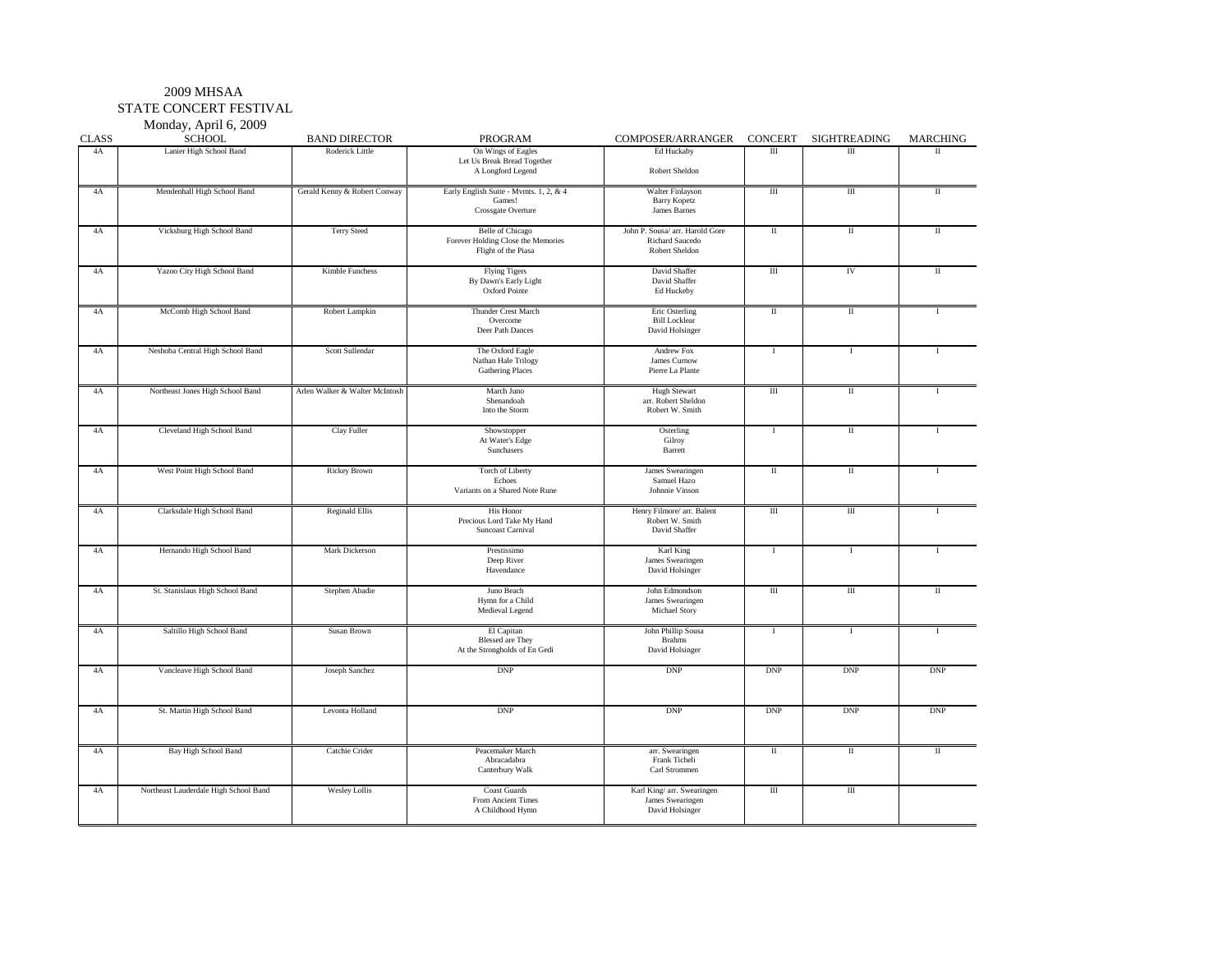#### 2009 MHSAA STATE CONCERT FESTIVAL

Monday, April 6, 2009

| <b>CLASS</b>    | 1.201887, 1.20110, 0.0000<br><b>SCHOOL</b> | <b>BAND DIRECTOR</b>           | PROGRAM                                                                              | COMPOSER/ARRANGER                                                    | <b>CONCERT</b>          | SIGHTREADING             | <b>MARCHING</b> |
|-----------------|--------------------------------------------|--------------------------------|--------------------------------------------------------------------------------------|----------------------------------------------------------------------|-------------------------|--------------------------|-----------------|
| 4A              | Lanier High School Band                    | Roderick Little                | On Wings of Eagles<br>Let Us Break Bread Together<br>A Longford Legend               | Ed Huckaby<br>Robert Sheldon                                         | $\overline{III}$        | $\overline{III}$         | $\mathbf{I}$    |
| 4A              | Mendenhall High School Band                | Gerald Kenny & Robert Conway   | Early English Suite - Mvmts. 1, 2, & 4<br>Games!<br>Crossgate Overture               | Walter Finlayson<br><b>Barry Kopetz</b><br>James Barnes              | $\overline{\mathbf{u}}$ | Ш                        | $\rm II$        |
| 4A              | Vicksburg High School Band                 | <b>Terry Steed</b>             | <b>Belle</b> of Chicago<br>Forever Holding Close the Memories<br>Flight of the Piasa | John P. Sousa/ arr. Harold Gore<br>Richard Saucedo<br>Robert Sheldon | $\rm II$                | $\rm{I}\hspace{-1.2pt}I$ | $\mathbf{I}$    |
| 4A              | Yazoo City High School Band                | Kimble Funchess                | <b>Flying Tigers</b><br>By Dawn's Early Light<br>Oxford Pointe                       | David Shaffer<br>David Shaffer<br>Ed Huckeby                         | Ш                       | IV                       | П               |
| 4A              | McComb High School Band                    | Robert Lampkin                 | Thunder Crest March<br>Overcome<br>Deer Path Dances                                  | Eric Osterling<br><b>Bill Locklear</b><br>David Holsinger            | $\;$ II                 | $\rm II$                 |                 |
| $4\mathrm{A}$   | Neshoba Central High School Band           | Scott Sullendar                | The Oxford Eagle<br>Nathan Hale Trilogy<br><b>Gathering Places</b>                   | Andrew Fox<br>James Curnow<br>Pierre La Plante                       | <b>I</b>                | $\bf I$                  | $\mathbf{I}$    |
| 4A              | Northeast Jones High School Band           | Arlen Walker & Walter McIntosh | March Juno<br>Shenandoah<br>Into the Storm                                           | <b>Hugh Stewart</b><br>arr. Robert Sheldon<br>Robert W. Smith        | $\overline{m}$          | $\overline{\rm{II}}$     |                 |
| 4A              | Cleveland High School Band                 | Clay Fuller                    | Showstopper<br>At Water's Edge<br>Sunchasers                                         | Osterling<br>Gilroy<br>Barrett                                       | Ι.                      | П                        | $\mathbf{I}$    |
| $4\mathrm{\AA}$ | West Point High School Band                | Rickey Brown                   | Torch of Liberty<br>Echoes<br>Variants on a Shared Note Rune                         | James Swearingen<br>Samuel Hazo<br>Johnnie Vinson                    | $\;$ II                 | $\scriptstyle\rm II$     | $\mathbf{I}$    |
| 4A              | Clarksdale High School Band                | <b>Reginald Ellis</b>          | His Honor<br>Precious Lord Take My Hand<br>Suncoast Carnival                         | Henry Filmore/ arr. Balent<br>Robert W. Smith<br>David Shaffer       | $\overline{m}$          | Ш                        |                 |
| $4\mathrm{A}$   | Hernando High School Band                  | Mark Dickerson                 | Prestissimo<br>Deep River<br>Havendance                                              | Karl King<br>James Swearingen<br>David Holsinger                     | <b>I</b>                | $\bf{I}$                 | $\mathbf{I}$    |
| 4A              | St. Stanislaus High School Band            | Stephen Abadie                 | Juno Beach<br>Hymn for a Child<br>Medieval Legend                                    | John Edmondson<br>James Swearingen<br>Michael Story                  | Ш                       | Ш                        | П               |
| $4\mathrm{A}$   | Saltillo High School Band                  | Susan Brown                    | El Capitan<br><b>Blessed</b> are They<br>At the Strongholds of En Gedi               | John Phillip Sousa<br><b>Brahms</b><br>David Holsinger               | <b>I</b>                | $\bf{I}$                 | $\mathbf{I}$    |
| 4A              | Vancleave High School Band                 | Joseph Sanchez                 | <b>DNP</b>                                                                           | <b>DNP</b>                                                           | <b>DNP</b>              | <b>DNP</b>               | <b>DNP</b>      |
| $4\mathrm{\AA}$ | St. Martin High School Band                | Levonta Holland                | <b>DNP</b>                                                                           | <b>DNP</b>                                                           | <b>DNP</b>              | <b>DNP</b>               | <b>DNP</b>      |
| 4A              | Bay High School Band                       | Catchie Crider                 | Peacemaker March<br>Abracadabra<br>Canterbury Walk                                   | arr. Swearingen<br>Frank Ticheli<br>Carl Strommen                    | $\mathbf{I}$            | $\rm{II}$                | $\rm II$        |
| $4\mathrm{\AA}$ | Northeast Lauderdale High School Band      | <b>Wesley Lollis</b>           | <b>Coast Guards</b><br>From Ancient Times<br>A Childhood Hymn                        | Karl King/ arr. Swearingen<br>James Swearingen<br>David Holsinger    | $\rm III$               | Ш                        |                 |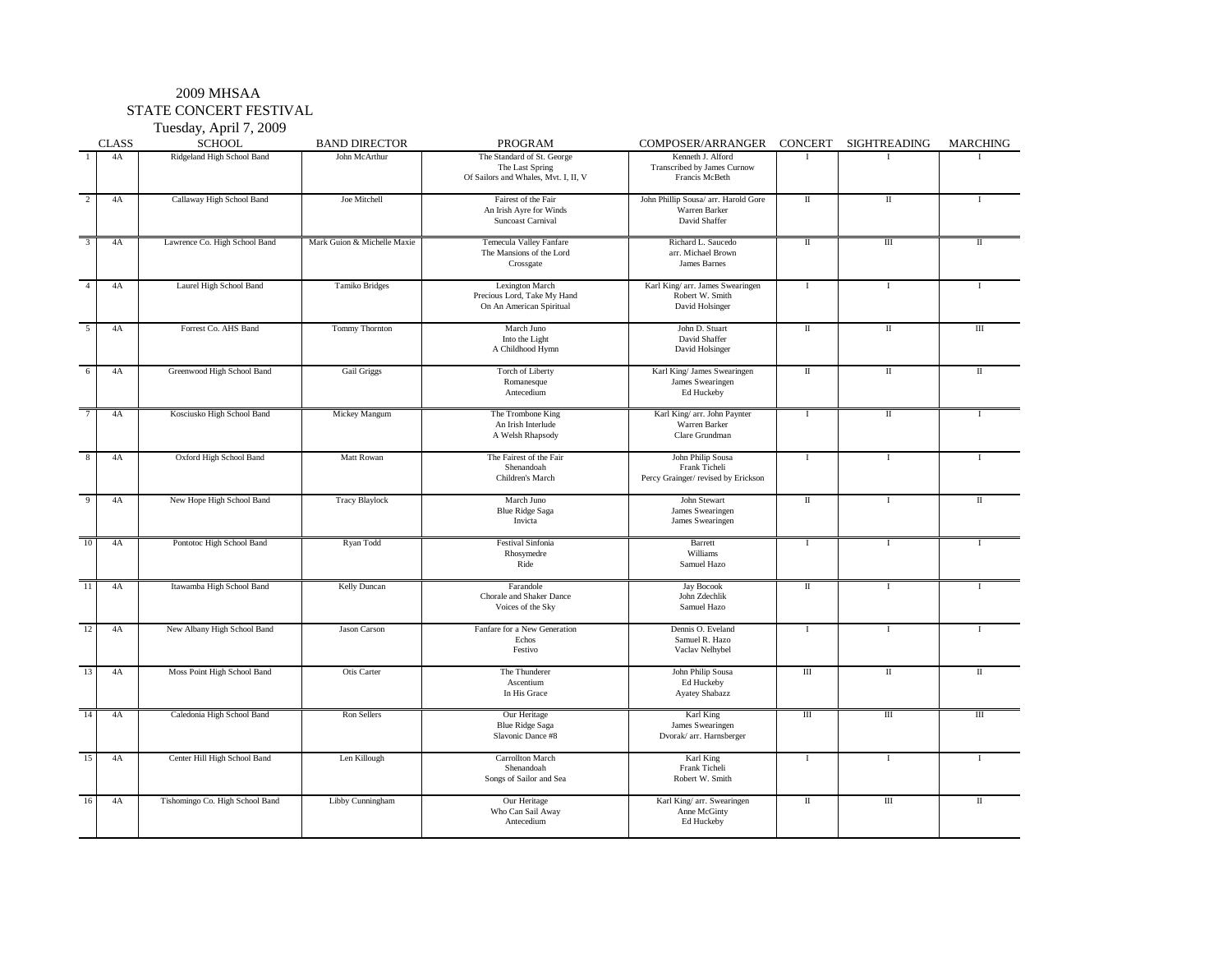### 2009 MHSAA STATE CONCERT FESTIVAL

Tuesday, April 7, 2009

|                | <b>CLASS</b> | - - - - - - - <i>, , - -</i> r - - - , -<br><b>SCHOOL</b> | <b>BAND DIRECTOR</b>        | PROGRAM                                                                               | COMPOSER/ARRANGER                                                         | CONCERT      | SIGHTREADING | <b>MARCHING</b> |
|----------------|--------------|-----------------------------------------------------------|-----------------------------|---------------------------------------------------------------------------------------|---------------------------------------------------------------------------|--------------|--------------|-----------------|
| $\overline{1}$ | 4A           | Ridgeland High School Band                                | John McArthur               | The Standard of St. George<br>The Last Spring<br>Of Sailors and Whales, Mvt. I, II, V | Kenneth J. Alford<br>Transcribed by James Curnow<br>Francis McBeth        | $\mathbf{I}$ | $\mathbf{I}$ |                 |
| $\overline{2}$ | 4A           | Callaway High School Band                                 | Joe Mitchell                | Fairest of the Fair<br>An Irish Ayre for Winds<br>Suncoast Carnival                   | John Phillip Sousa/ arr. Harold Gore<br>Warren Barker<br>David Shaffer    | $\rm{II}$    | $\rm{II}$    | <b>I</b>        |
| $\overline{3}$ | 4A           | Lawrence Co. High School Band                             | Mark Guion & Michelle Maxie | Temecula Valley Fanfare<br>The Mansions of the Lord<br>Crossgate                      | Richard L. Saucedo<br>arr. Michael Brown<br>James Barnes                  | $\;$ II      | $\rm III$    | $\mathbf{I}$    |
| $\overline{4}$ | 4A           | Laurel High School Band                                   | Tamiko Bridges              | Lexington March<br>Precious Lord, Take My Hand<br>On An American Spiritual            | Karl King/ arr. James Swearingen<br>Robert W. Smith<br>David Holsinger    | -1           | $\mathbf I$  | $\mathbf{I}$    |
| 5              | 4A           | Forrest Co. AHS Band                                      | <b>Tommy Thornton</b>       | March Juno<br>Into the Light<br>A Childhood Hymn                                      | John D. Stuart<br>David Shaffer<br>David Holsinger                        | $\mathbf{I}$ | $\mathbf{I}$ | $\rm III$       |
| 6              | 4A           | Greenwood High School Band                                | <b>Gail Griggs</b>          | Torch of Liberty<br>Romanesque<br>Antecedium                                          | Karl King/ James Swearingen<br>James Swearingen<br>Ed Huckeby             | П            | П            | $\rm II$        |
|                | 4A           | Kosciusko High School Band                                | Mickey Mangum               | The Trombone King<br>An Irish Interlude<br>A Welsh Rhapsody                           | Karl King/ arr. John Paynter<br>Warren Barker<br>Clare Grundman           | $\bf{I}$     | $\rm II$     | $\mathbf{I}$    |
| 8              | 4A           | Oxford High School Band                                   | Matt Rowan                  | The Fairest of the Fair<br>Shenandoah<br>Children's March                             | John Philip Sousa<br>Frank Ticheli<br>Percy Grainger/ revised by Erickson | $\mathbf{I}$ | $\mathbf{I}$ | $\mathbf{I}$    |
| 9              | 4A           | New Hope High School Band                                 | <b>Tracy Blaylock</b>       | March Juno<br><b>Blue Ridge Saga</b><br>Invicta                                       | John Stewart<br>James Swearingen<br>James Swearingen                      | $\mathbf{I}$ | $\mathbf{I}$ | $\mathbf{I}$    |
| 10             | 4A           | Pontotoc High School Band                                 | Ryan Todd                   | <b>Festival Sinfonia</b><br>Rhosymedre<br>Ride                                        | Barrett<br>Williams<br>Samuel Hazo                                        | $\mathbf I$  | $\bf{I}$     | T               |
| 11             | 4A           | Itawamba High School Band                                 | Kelly Duncan                | Farandole<br>Chorale and Shaker Dance<br>Voices of the Sky                            | Jay Bocook<br>John Zdechlik<br>Samuel Hazo                                | $\;$ II      | $\mathbf I$  | I               |
| 12             | 4A           | New Albany High School Band                               | Jason Carson                | Fanfare for a New Generation<br>Echos<br>Festivo                                      | Dennis O. Eveland<br>Samuel R. Hazo<br>Vaclav Nelhybel                    | $\mathbf I$  | $\mathbf I$  | $\mathbf{I}$    |
| 13             | 4A           | Moss Point High School Band                               | Otis Carter                 | The Thunderer<br>Ascentium<br>In His Grace                                            | John Philip Sousa<br>Ed Huckeby<br><b>Ayatey Shabazz</b>                  | $\rm III$    | $\rm II$     | $\mathbf{I}$    |
| 14             | 4A           | Caledonia High School Band                                | Ron Sellers                 | Our Heritage<br><b>Blue Ridge Saga</b><br>Slavonic Dance #8                           | Karl King<br>James Swearingen<br>Dvorak/ arr. Harnsberger                 | Ш            | Ш            | Ш               |
| 15             | 4A           | Center Hill High School Band                              | Len Killough                | <b>Carrollton March</b><br>Shenandoah<br>Songs of Sailor and Sea                      | Karl King<br>Frank Ticheli<br>Robert W. Smith                             | $\mathbf{I}$ | $\mathbf{I}$ | $\mathbf{I}$    |
| 16             | 4A           | Tishomingo Co. High School Band                           | Libby Cunningham            | Our Heritage<br>Who Can Sail Away<br>Antecedium                                       | Karl King/ arr. Swearingen<br>Anne McGinty<br>Ed Huckeby                  | П            | $\rm III$    | $\mathbf{I}$    |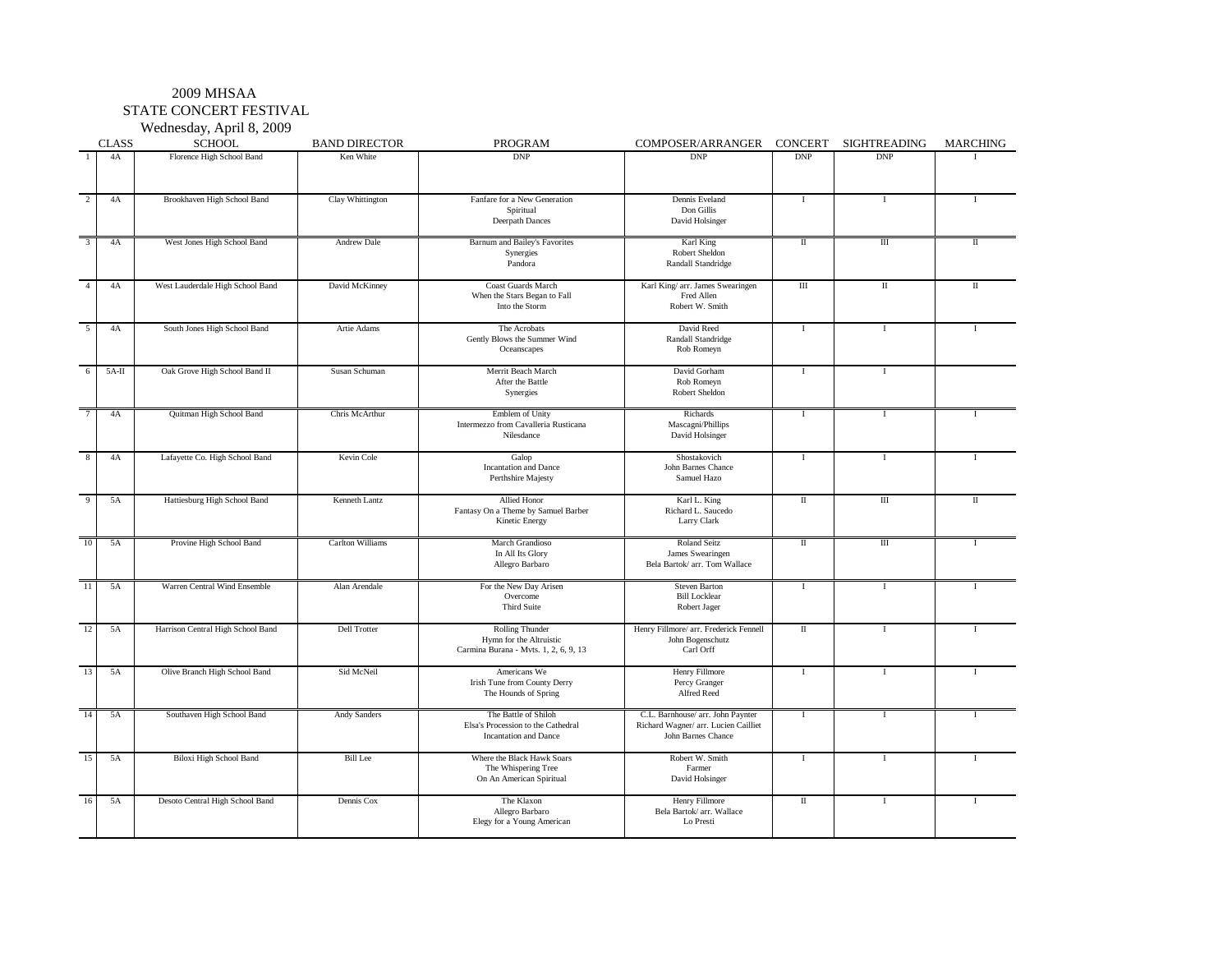STATE CONCERT FESTIVAL

Wednesday, April 8, 2009

|                | <b>CLASS</b> | <b>SCHOOL</b>                     | <b>BAND DIRECTOR</b> | PROGRAM                                                                                    | COMPOSER/ARRANGER                                                                               | CONCERT                 | <b>SIGHTREADING</b> | MARCHING     |
|----------------|--------------|-----------------------------------|----------------------|--------------------------------------------------------------------------------------------|-------------------------------------------------------------------------------------------------|-------------------------|---------------------|--------------|
|                | 4A           | Florence High School Band         | Ken White            | <b>DNP</b>                                                                                 | <b>DNP</b>                                                                                      | <b>DNP</b>              | <b>DNP</b>          |              |
| $\overline{2}$ | 4A           | Brookhaven High School Band       | Clay Whittington     | Fanfare for a New Generation<br>Spiritual<br>Deerpath Dances                               | Dennis Eveland<br>Don Gillis<br>David Holsinger                                                 | $\overline{1}$          | $\mathbf I$         | $\mathbf{I}$ |
| $\overline{3}$ | 4A           | West Jones High School Band       | <b>Andrew Dale</b>   | Barnum and Bailey's Favorites<br>Synergies<br>Pandora                                      | Karl King<br>Robert Sheldon<br>Randall Standridge                                               | $\;$ II                 | Ш                   | П            |
| $\overline{4}$ | 4A           | West Lauderdale High School Band  | David McKinney       | Coast Guards March<br>When the Stars Began to Fall<br>Into the Storm                       | Karl King/ arr. James Swearingen<br>Fred Allen<br>Robert W. Smith                               | $\overline{III}$        | П                   | $\mathbf{I}$ |
| $\overline{5}$ | 4A           | South Jones High School Band      | Artie Adams          | The Acrobats<br>Gently Blows the Summer Wind<br>Oceanscapes                                | David Reed<br>Randall Standridge<br>Rob Romeyn                                                  | T                       | $\mathbf I$         | $\mathbf{I}$ |
| 6              | $5A-H$       | Oak Grove High School Band II     | Susan Schuman        | Merrit Beach March<br>After the Battle<br>Synergies                                        | David Gorham<br>Rob Romeyn<br>Robert Sheldon                                                    | $\mathbf I$             | $\bf{I}$            |              |
| $\overline{7}$ | 4A           | Quitman High School Band          | Chris McArthur       | Emblem of Unity<br>Intermezzo from Cavalleria Rusticana<br>Nilesdance                      | Richards<br>Mascagni/Phillips<br>David Holsinger                                                | $\mathbf I$             | $\mathbf I$         |              |
| 8              | 4A           | Lafayette Co. High School Band    | Kevin Cole           | Galop<br><b>Incantation</b> and Dance<br>Perthshire Majesty                                | Shostakovich<br>John Barnes Chance<br>Samuel Hazo                                               | $\mathbf I$             | $\bf{I}$            | $\mathbf{I}$ |
| $\overline{9}$ | 5A           | Hattiesburg High School Band      | Kenneth Lantz        | Allied Honor<br>Fantasy On a Theme by Samuel Barber<br>Kinetic Energy                      | Karl L. King<br>Richard L. Saucedo<br>Larry Clark                                               | $\rm{II}$               | $\overline{III}$    | $\mathbf{I}$ |
| 10             | 5A           | Provine High School Band          | Carlton Williams     | March Grandioso<br>In All Its Glory<br>Allegro Barbaro                                     | Roland Seitz<br>James Swearingen<br>Bela Bartok/ arr. Tom Wallace                               | $\rm II$                | Ш                   |              |
| 11             | 5A           | Warren Central Wind Ensemble      | Alan Arendale        | For the New Day Arisen<br>Overcome<br><b>Third Suite</b>                                   | <b>Steven Barton</b><br><b>Bill Locklear</b><br>Robert Jager                                    | $\mathbf I$             | $\bf{I}$            | $\mathbf{I}$ |
| 12             | 5A           | Harrison Central High School Band | <b>Dell Trotter</b>  | <b>Rolling Thunder</b><br>Hymn for the Altruistic<br>Carmina Burana - Mvts. 1, 2, 6, 9, 13 | Henry Fillmore/ arr. Frederick Fennell<br>John Bogenschutz<br>Carl Orff                         | $\overline{\mathbf{u}}$ | $\mathbf I$         | $\mathbf{I}$ |
| 13             | 5A           | Olive Branch High School Band     | Sid McNeil           | Americans We<br>Irish Tune from County Derry<br>The Hounds of Spring                       | Henry Fillmore<br>Percy Granger<br>Alfred Reed                                                  | $\bf{I}$                | $\mathbf I$         | $\mathbf{I}$ |
| 14             | 5A           | Southaven High School Band        | <b>Andy Sanders</b>  | The Battle of Shiloh<br>Elsa's Procession to the Cathedral<br><b>Incantation</b> and Dance | C.L. Barnhouse/ arr. John Paynter<br>Richard Wagner/ arr. Lucien Cailliet<br>John Barnes Chance | $\mathbf I$             | $\mathbf I$         | $\mathbf{I}$ |
| 15             | 5A           | <b>Biloxi High School Band</b>    | <b>Bill Lee</b>      | Where the Black Hawk Soars<br>The Whispering Tree<br>On An American Spiritual              | Robert W. Smith<br>Farmer<br>David Holsinger                                                    | $\mathbf I$             | <b>I</b>            | $\mathbf{I}$ |
| 16             | 5A           | Desoto Central High School Band   | Dennis Cox           | The Klaxon<br>Allegro Barbaro<br>Elegy for a Young American                                | Henry Fillmore<br>Bela Bartok/ arr. Wallace<br>Lo Presti                                        | $\;$ II                 | <b>I</b>            | $\mathbf I$  |